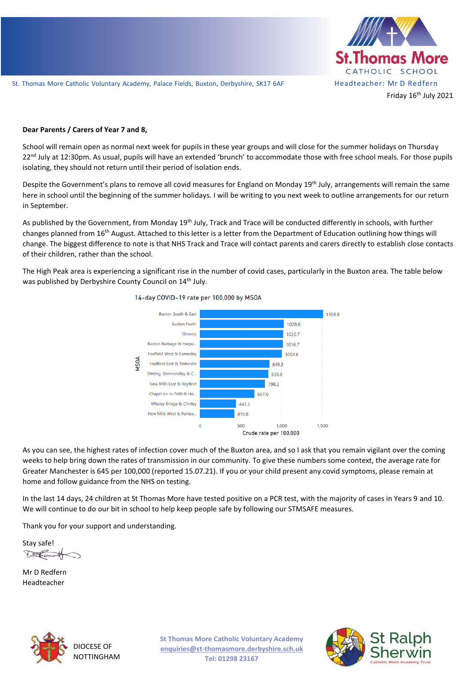

#### **Dear Parents / Carers of Year 7 and 8,**

22<sup>nd</sup> July at 12:30pm. As usual, pupils will have an extended 'brunch' to accommodate those with free school meals. For those pupils School will remain open as normal next week for pupils in these year groups and will close for the summer holidays on Thursday isolating, they should not return until their period of isolation ends.

Despite the Government's plans to remove all covid measures for England on Monday 19<sup>th</sup> July, arrangements will remain the same here in school until the beginning of the summer holidays. I will be writing to you next week to outline arrangements for our return in September.

As published by the Government, from Monday 19<sup>th</sup> July, Track and Trace will be conducted differently in schools, with further changes planned from 16th August. Attached to this letter is a letter from the Department of Education outlining how things will change. The biggest difference to note is that NHS Track and Trace will contact parents and carers directly to establish close contacts of their children, rather than the school.

The High Peak area is experiencing a significant rise in the number of covid cases, particularly in the Buxton area. The table below was published by Derbyshire County Council on 14<sup>th</sup> July.



14-day COVID-19 rate per 100,000 by MSOA

As you can see, the highest rates of infection cover much of the Buxton area, and so I ask that you remain vigilant over the coming weeks to help bring down the rates of transmission in our community. To give these numbers some context, the average rate for Greater Manchester is 645 per 100,000 (reported 15.07.21). If you or your child present any covid symptoms, please remain at home and follow guidance from the NHS on testing.

In the last 14 days, 24 children at St Thomas More have tested positive on a PCR test, with the majority of cases in Years 9 and 10. We will continue to do our bit in school to help keep people safe by following our STMSAFE measures.

Thank you for your support and understanding.

Stay safe!  $\sqrt{2}$ 

Mr D Redfern Headteacher



DIOCESE OF NOTTINGHAM **St Thomas More Catholic Voluntary Academy enquiries@st-thomasmore.derbyshire.sch.uk Tel: 01298 23167**

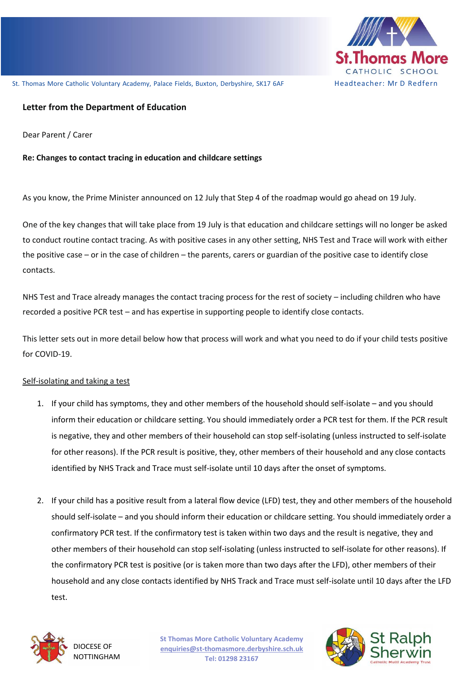

# **Letter from the Department of Education**

Dear Parent / Carer

# Re: Changes to contact tracing in education and childcare settings

As you know, the Prime Minister announced on 12 July that Step 4 of the roadmap would go ahead on 19 July.

One of the key changes that will take place from 19 July is that education and childcare settings will no longer be asked to conduct routine contact tracing. As with positive cases in any other setting, NHS Test and Trace will work with either the positive case – or in the case of children – the parents, carers or guardian of the positive case to identify close contacts.

NHS Test and Trace already manages the contact tracing process for the rest of society – including children who have recorded a positive PCR test – and has expertise in supporting people to identify close contacts.

This letter sets out in more detail below how that process will work and what you need to do if your child tests positive for COVID-19.

### Self-isolating and taking a test

- 1. If your child has symptoms, they and other members of the household should self-isolate and you should inform their education or childcare setting. You should immediately order a PCR test for them. If the PCR result is negative, they and other members of their household can stop self-isolating (unless instructed to self-isolate for other reasons). If the PCR result is positive, they, other members of their household and any close contacts identified by NHS Track and Trace must self-isolate until 10 days after the onset of symptoms.
- 2. If your child has a positive result from a lateral flow device (LFD) test, they and other members of the household should self-isolate – and you should inform their education or childcare setting. You should immediately order a confirmatory PCR test. If the confirmatory test is taken within two days and the result is negative, they and other members of their household can stop self-isolating (unless instructed to self-isolate for other reasons). If the confirmatory PCR test is positive (or is taken more than two days after the LFD), other members of their household and any close contacts identified by NHS Track and Trace must self-isolate until 10 days after the LFD test.



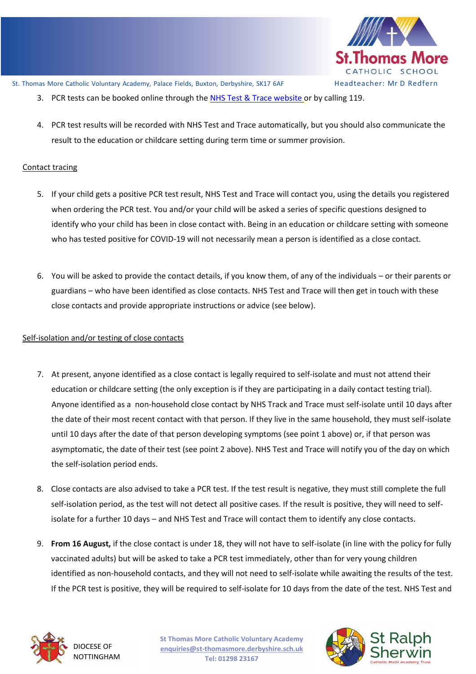

- 3. PCR tests can be booked online through th[e NHS Test & Trace website](https://www.nhs.uk/conditions/coronavirus-covid-19/testing/) or by calling 119.
- 4. PCR test results will be recorded with NHS Test and Trace automatically, but you should also communicate the result to the education or childcare setting during term time or summer provision.

## Contact tracing

- 5. If your child gets a positive PCR test result, NHS Test and Trace will contact you, using the details you registered when ordering the PCR test. You and/or your child will be asked a series of specific questions designed to identify who your child has been in close contact with. Being in an education or childcare setting with someone who has tested positive for COVID-19 will not necessarily mean a person is identified as a close contact.
- 6. You will be asked to provide the contact details, if you know them, of any of the individuals or their parents or guardians – who have been identified as close contacts. NHS Test and Trace will then get in touch with these close contacts and provide appropriate instructions or advice (see below).

### Self-isolation and/or testing of close contacts

- 7. At present, anyone identified as a close contact is legally required to self-isolate and must not attend their education or childcare setting (the only exception is if they are participating in a daily contact testing trial). Anyone identified as a non-household close contact by NHS Track and Trace must self-isolate until 10 days after the date of their most recent contact with that person. If they live in the same household, they must self-isolate until 10 days after the date of that person developing symptoms (see point 1 above) or, if that person was asymptomatic, the date of their test (see point 2 above). NHS Test and Trace will notify you of the day on which the self-isolation period ends.
- 8. Close contacts are also advised to take a PCR test. If the test result is negative, they must still complete the full self-isolation period, as the test will not detect all positive cases. If the result is positive, they will need to selfisolate for a further 10 days – and NHS Test and Trace will contact them to identify any close contacts.
- 9. **From 16 August,** if the close contact is under 18, they will not have to self-isolate (in line with the policy for fully vaccinated adults) but will be asked to take a PCR test immediately, other than for very young children identified as non-household contacts, and they will not need to self-isolate while awaiting the results of the test. If the PCR test is positive, they will be required to self-isolate for 10 days from the date of the test. NHS Test and